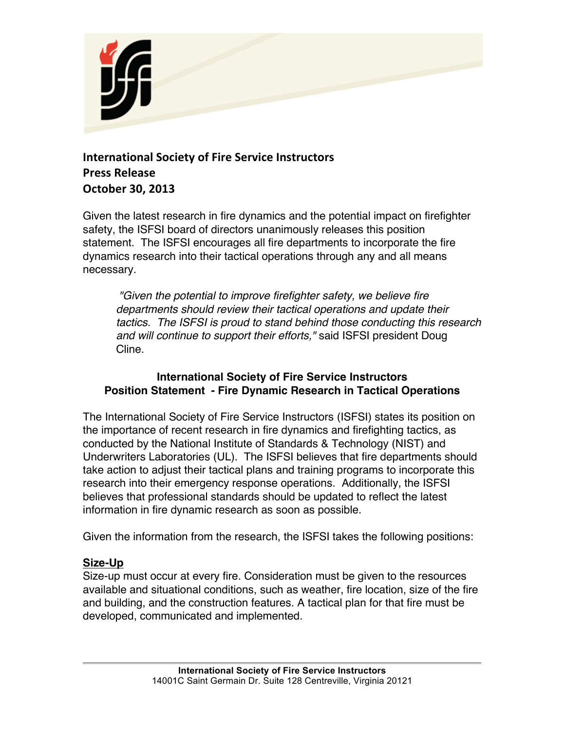

# **International Society of Fire Service Instructors Press Release October 30, 2013**

Given the latest research in fire dynamics and the potential impact on firefighter safety, the ISFSI board of directors unanimously releases this position statement. The ISFSI encourages all fire departments to incorporate the fire dynamics research into their tactical operations through any and all means necessary.

*"Given the potential to improve firefighter safety, we believe fire departments should review their tactical operations and update their tactics. The ISFSI is proud to stand behind those conducting this research and will continue to support their efforts,"* said ISFSI president Doug Cline.

## **International Society of Fire Service Instructors Position Statement - Fire Dynamic Research in Tactical Operations**

The International Society of Fire Service Instructors (ISFSI) states its position on the importance of recent research in fire dynamics and firefighting tactics, as conducted by the National Institute of Standards & Technology (NIST) and Underwriters Laboratories (UL). The ISFSI believes that fire departments should take action to adjust their tactical plans and training programs to incorporate this research into their emergency response operations. Additionally, the ISFSI believes that professional standards should be updated to reflect the latest information in fire dynamic research as soon as possible.

Given the information from the research, the ISFSI takes the following positions:

## **Size-Up**

Size-up must occur at every fire. Consideration must be given to the resources available and situational conditions, such as weather, fire location, size of the fire and building, and the construction features. A tactical plan for that fire must be developed, communicated and implemented.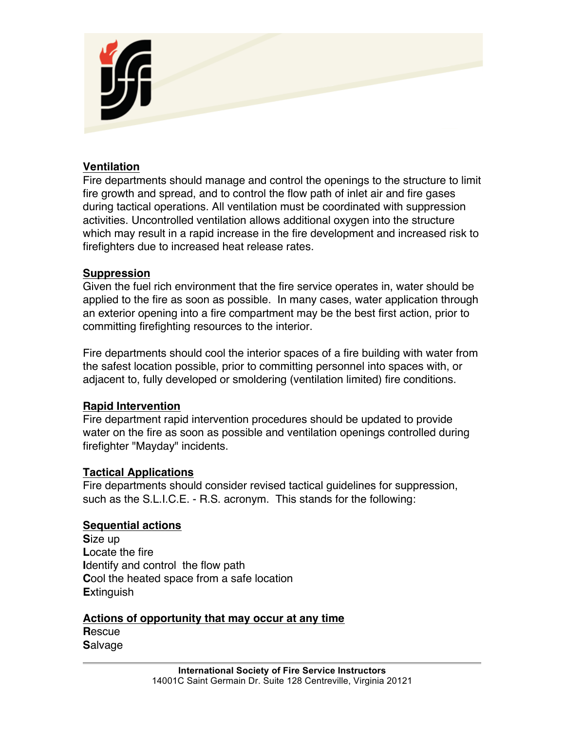

### **Ventilation**

Fire departments should manage and control the openings to the structure to limit fire growth and spread, and to control the flow path of inlet air and fire gases during tactical operations. All ventilation must be coordinated with suppression activities. Uncontrolled ventilation allows additional oxygen into the structure which may result in a rapid increase in the fire development and increased risk to firefighters due to increased heat release rates.

#### **Suppression**

Given the fuel rich environment that the fire service operates in, water should be applied to the fire as soon as possible. In many cases, water application through an exterior opening into a fire compartment may be the best first action, prior to committing firefighting resources to the interior.

Fire departments should cool the interior spaces of a fire building with water from the safest location possible, prior to committing personnel into spaces with, or adjacent to, fully developed or smoldering (ventilation limited) fire conditions.

#### **Rapid Intervention**

Fire department rapid intervention procedures should be updated to provide water on the fire as soon as possible and ventilation openings controlled during firefighter "Mayday" incidents.

#### **Tactical Applications**

Fire departments should consider revised tactical guidelines for suppression, such as the S.L.I.C.E. - R.S. acronym. This stands for the following:

#### **Sequential actions**

**S**ize up **L**ocate the fire **I**dentify and control the flow path **C**ool the heated space from a safe location **E**xtinguish

#### **Actions of opportunity that may occur at any time R**escue

**S**alvage